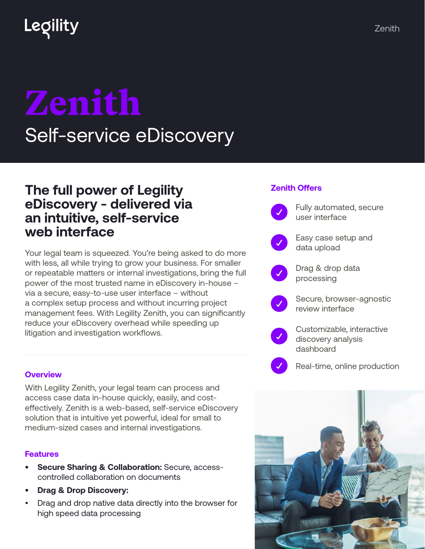# Zenith Self-service eDiscovery

## **The full power of Legility eDiscovery - delivered via an intuitive, self-service web interface**

Your legal team is squeezed. You're being asked to do more with less, all while trying to grow your business. For smaller or repeatable matters or internal investigations, bring the full power of the most trusted name in eDiscovery in-house – via a secure, easy-to-use user interface – without a complex setup process and without incurring project management fees. With Legility Zenith, you can significantly reduce your eDiscovery overhead while speeding up litigation and investigation workflows.

### **Zenith Offers**

Fully automated, secure user interface Easy case setup and data upload Drag & drop data processing Secure, browser-agnostic review interface Customizable, interactive discovery analysis dashboard

#### **Overview**

With Legility Zenith, your legal team can process and access case data in-house quickly, easily, and costeffectively. Zenith is a web-based, self-service eDiscovery solution that is intuitive yet powerful, ideal for small to medium-sized cases and internal investigations.

#### **Features**

- **• Secure Sharing & Collaboration:** Secure, accesscontrolled collaboration on documents
- **• Drag & Drop Discovery:**
- Drag and drop native data directly into the browser for high speed data processing



Real-time, online production